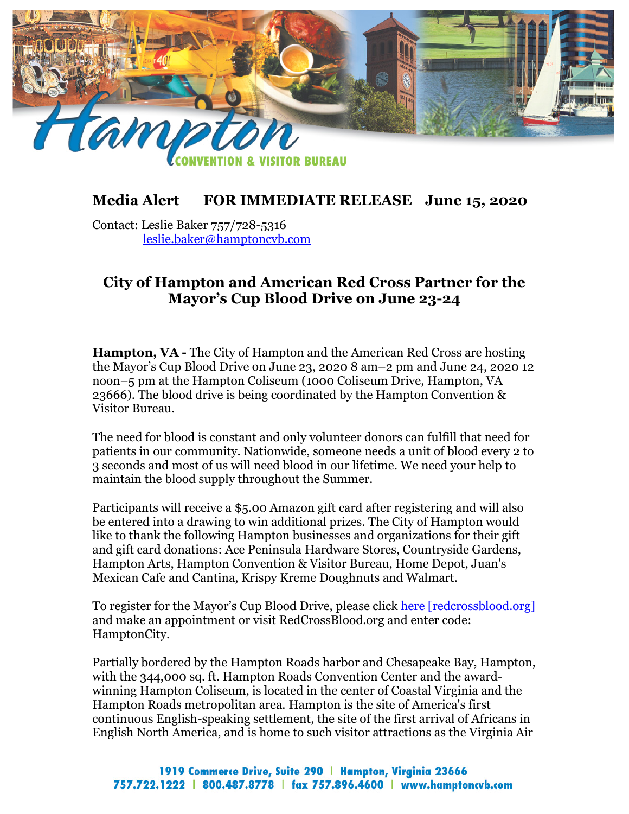

## **Media Alert FOR IMMEDIATE RELEASE June 15, 2020**

Contact: Leslie Baker 757/728-5316 [leslie.baker@hamptoncvb.com](mailto:leslie.baker@hamptoncvb.com)

## **City of Hampton and American Red Cross Partner for the Mayor's Cup Blood Drive on June 23-24**

**Hampton, VA -** The City of Hampton and the American Red Cross are hosting the Mayor's Cup Blood Drive on June 23, 2020 8 am–2 pm and June 24, 2020 12 noon–5 pm at the Hampton Coliseum (1000 Coliseum Drive, Hampton, VA 23666). The blood drive is being coordinated by the Hampton Convention & Visitor Bureau.

The need for blood is constant and only volunteer donors can fulfill that need for patients in our community. Nationwide, someone needs a unit of blood every 2 to 3 seconds and most of us will need blood in our lifetime. We need your help to maintain the blood supply throughout the Summer.

Participants will receive a \$5.00 Amazon gift card after registering and will also be entered into a drawing to win additional prizes. The City of Hampton would like to thank the following Hampton businesses and organizations for their gift and gift card donations: Ace Peninsula Hardware Stores, Countryside Gardens, Hampton Arts, Hampton Convention & Visitor Bureau, Home Depot, Juan's Mexican Cafe and Cantina, Krispy Kreme Doughnuts and Walmart.

To register for the Mayor's Cup Blood Drive, please click [here \[redcrossblood.org\]](https://urldefense.com/v3/__https:/www.redcrossblood.org/give.html/drive-results?zipSponsor=HamptonCity&cid=siebel&med=email&source=bdc_email&utm_source=siebel&utm_medium=email&utm_campaign=bdc_email__;!!IZXYVuFH-bp8_Q!FiN-bhqOx6VzEtTGcskxEp-SZPDzOXQr8POQFBUEzlN1bYNnlR2KjZFmO3GTIc9iftZRxg$) and make an appointment or visit RedCrossBlood.org and enter code: HamptonCity.

Partially bordered by the Hampton Roads harbor and Chesapeake Bay, Hampton, with the 344,000 sq. ft. Hampton Roads Convention Center and the awardwinning Hampton Coliseum, is located in the center of Coastal Virginia and the Hampton Roads metropolitan area. Hampton is the site of America's first continuous English-speaking settlement, the site of the first arrival of Africans in English North America, and is home to such visitor attractions as the Virginia Air